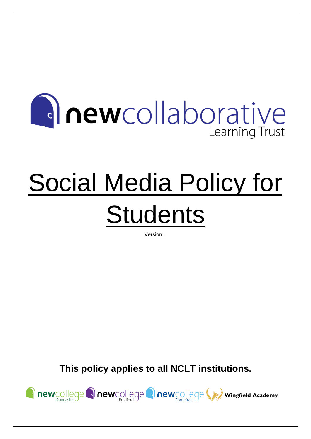# **Anewcollaborative** Learning Trust

# Social Media Policy for **Students**

Version 1

**This policy applies to all NCLT institutions.**

newcollege anewcollege anewcollege wingfield Academy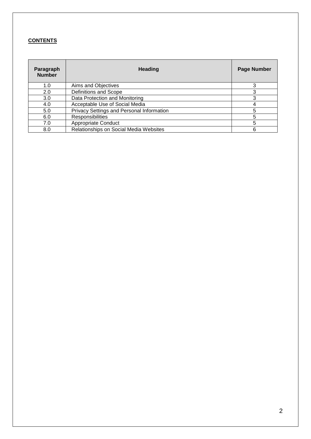# **CONTENTS**

| Paragraph<br><b>Number</b> | <b>Heading</b>                            | <b>Page Number</b> |
|----------------------------|-------------------------------------------|--------------------|
| 1.0                        | Aims and Objectives                       | 3                  |
| 2.0                        | Definitions and Scope                     |                    |
| 3.0                        | Data Protection and Monitoring            |                    |
| 4.0                        | Acceptable Use of Social Media            | 4                  |
| 5.0                        | Privacy Settings and Personal Information | 5                  |
| 6.0                        | Responsibilities                          | 5                  |
| 7.0                        | Appropriate Conduct                       | 5                  |
| 8.0                        | Relationships on Social Media Websites    | 6                  |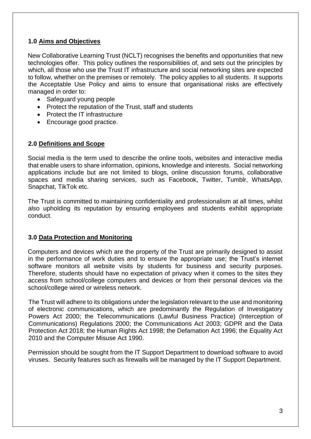# **1.0 Aims and Objectives**

New Collaborative Learning Trust (NCLT) recognises the benefits and opportunities that new technologies offer. This policy outlines the responsibilities of, and sets out the principles by which, all those who use the Trust IT infrastructure and social networking sites are expected to follow, whether on the premises or remotely. The policy applies to all students. It supports the Acceptable Use Policy and aims to ensure that organisational risks are effectively managed in order to:

- Safeguard young people
- Protect the reputation of the Trust, staff and students
- Protect the IT infrastructure
- Encourage good practice.

## **2.0 Definitions and Scope**

Social media is the term used to describe the online tools, websites and interactive media that enable users to share information, opinions, knowledge and interests. Social networking applications include but are not limited to blogs, online discussion forums, collaborative spaces and media sharing services, such as Facebook, Twitter, Tumblr, WhatsApp, Snapchat, TikTok etc.

The Trust is committed to maintaining confidentiality and professionalism at all times, whilst also upholding its reputation by ensuring employees and students exhibit appropriate conduct.

#### **3.0 Data Protection and Monitoring**

Computers and devices which are the property of the Trust are primarily designed to assist in the performance of work duties and to ensure the appropriate use; the Trust's internet software monitors all website visits by students for business and security purposes. Therefore, students should have no expectation of privacy when it comes to the sites they access from school/college computers and devices or from their personal devices via the school/college wired or wireless network.

The Trust will adhere to its obligations under the legislation relevant to the use and monitoring of electronic communications, which are predominantly the Regulation of Investigatory Powers Act 2000; the Telecommunications (Lawful Business Practice) (Interception of Communications) Regulations 2000; the Communications Act 2003; GDPR and the Data Protection Act 2018; the Human Rights Act 1998; the Defamation Act 1996; the Equality Act 2010 and the Computer Misuse Act 1990.

Permission should be sought from the IT Support Department to download software to avoid viruses. Security features such as firewalls will be managed by the IT Support Department.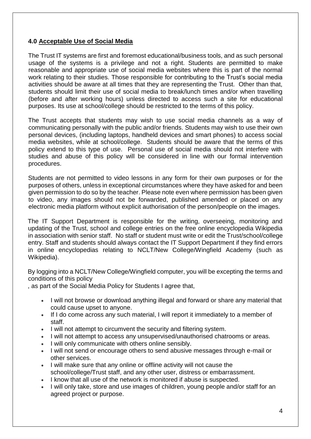## **4.0 Acceptable Use of Social Media**

The Trust IT systems are first and foremost educational/business tools, and as such personal usage of the systems is a privilege and not a right. Students are permitted to make reasonable and appropriate use of social media websites where this is part of the normal work relating to their studies. Those responsible for contributing to the Trust's social media activities should be aware at all times that they are representing the Trust. Other than that, students should limit their use of social media to break/lunch times and/or when travelling (before and after working hours) unless directed to access such a site for educational purposes. Its use at school/college should be restricted to the terms of this policy.

The Trust accepts that students may wish to use social media channels as a way of communicating personally with the public and/or friends. Students may wish to use their own personal devices, (including laptops, handheld devices and smart phones) to access social media websites, while at school/college. Students should be aware that the terms of this policy extend to this type of use. Personal use of social media should not interfere with studies and abuse of this policy will be considered in line with our formal intervention procedures.

Students are not permitted to video lessons in any form for their own purposes or for the purposes of others, unless in exceptional circumstances where they have asked for and been given permission to do so by the teacher. Please note even where permission has been given to video, any images should not be forwarded, published amended or placed on any electronic media platform without explicit authorisation of the person/people on the images.

The IT Support Department is responsible for the writing, overseeing, monitoring and updating of the Trust, school and college entries on the free online encyclopedia Wikipedia in association with senior staff. No staff or student must write or edit the Trust/school/college entry. Staff and students should always contact the IT Support Department if they find errors in online encyclopedias relating to NCLT/New College/Wingfield Academy (such as Wikipedia).

By logging into a NCLT/New College/Wingfield computer, you will be excepting the terms and conditions of this policy

, as part of the Social Media Policy for Students I agree that,

- I will not browse or download anything illegal and forward or share any material that could cause upset to anyone.
- If I do come across any such material, I will report it immediately to a member of staff.
- I will not attempt to circumvent the security and filtering system.
- I will not attempt to access any unsupervised/unauthorised chatrooms or areas.
- I will only communicate with others online sensibly.
- I will not send or encourage others to send abusive messages through e-mail or other services.
- I will make sure that any online or offline activity will not cause the school/college/Trust staff, and any other user, distress or embarrassment.
- I know that all use of the network is monitored if abuse is suspected.
- I will only take, store and use images of children, young people and/or staff for an agreed project or purpose.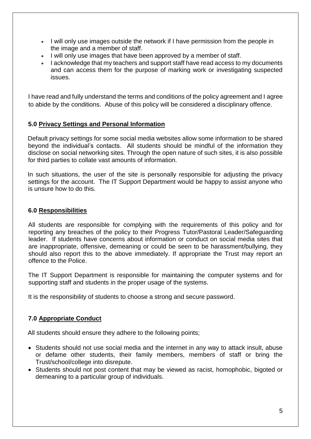- I will only use images outside the network if I have permission from the people in the image and a member of staff.
- I will only use images that have been approved by a member of staff.
- I acknowledge that my teachers and support staff have read access to my documents and can access them for the purpose of marking work or investigating suspected issues.

I have read and fully understand the terms and conditions of the policy agreement and I agree to abide by the conditions. Abuse of this policy will be considered a disciplinary offence.

## **5.0 Privacy Settings and Personal Information**

Default privacy settings for some social media websites allow some information to be shared beyond the individual's contacts. All students should be mindful of the information they disclose on social networking sites. Through the open nature of such sites, it is also possible for third parties to collate vast amounts of information.

In such situations, the user of the site is personally responsible for adjusting the privacy settings for the account. The IT Support Department would be happy to assist anyone who is unsure how to do this.

#### **6.0 Responsibilities**

All students are responsible for complying with the requirements of this policy and for reporting any breaches of the policy to their Progress Tutor/Pastoral Leader/Safeguarding leader. If students have concerns about information or conduct on social media sites that are inappropriate, offensive, demeaning or could be seen to be harassment/bullying, they should also report this to the above immediately. If appropriate the Trust may report an offence to the Police.

The IT Support Department is responsible for maintaining the computer systems and for supporting staff and students in the proper usage of the systems.

It is the responsibility of students to choose a strong and secure password.

## **7.0 Appropriate Conduct**

All students should ensure they adhere to the following points;

- Students should not use social media and the internet in any way to attack insult, abuse or defame other students, their family members, members of staff or bring the Trust/school/college into disrepute.
- Students should not post content that may be viewed as racist, homophobic, bigoted or demeaning to a particular group of individuals.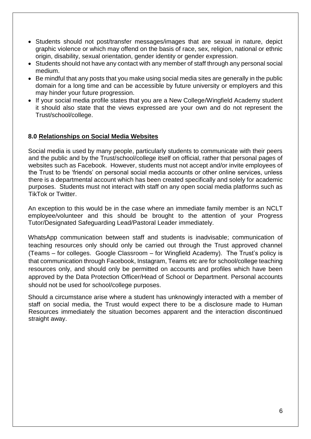- Students should not post/transfer messages/images that are sexual in nature, depict graphic violence or which may offend on the basis of race, sex, religion, national or ethnic origin, disability, sexual orientation, gender identity or gender expression.
- Students should not have any contact with any member of staff through any personal social medium.
- Be mindful that any posts that you make using social media sites are generally in the public domain for a long time and can be accessible by future university or employers and this may hinder your future progression.
- If your social media profile states that you are a New College/Wingfield Academy student it should also state that the views expressed are your own and do not represent the Trust/school/college.

#### **8.0 Relationships on Social Media Websites**

Social media is used by many people, particularly students to communicate with their peers and the public and by the Trust/school/college itself on official, rather that personal pages of websites such as Facebook. However, students must not accept and/or invite employees of the Trust to be 'friends' on personal social media accounts or other online services, unless there is a departmental account which has been created specifically and solely for academic purposes. Students must not interact with staff on any open social media platforms such as TikTok or Twitter.

An exception to this would be in the case where an immediate family member is an NCLT employee/volunteer and this should be brought to the attention of your Progress Tutor/Designated Safeguarding Lead/Pastoral Leader immediately.

WhatsApp communication between staff and students is inadvisable; communication of teaching resources only should only be carried out through the Trust approved channel (Teams – for colleges. Google Classroom – for Wingfield Academy). The Trust's policy is that communication through Facebook, Instagram, Teams etc are for school/college teaching resources only, and should only be permitted on accounts and profiles which have been approved by the Data Protection Officer/Head of School or Department. Personal accounts should not be used for school/college purposes.

Should a circumstance arise where a student has unknowingly interacted with a member of staff on social media, the Trust would expect there to be a disclosure made to Human Resources immediately the situation becomes apparent and the interaction discontinued straight away.